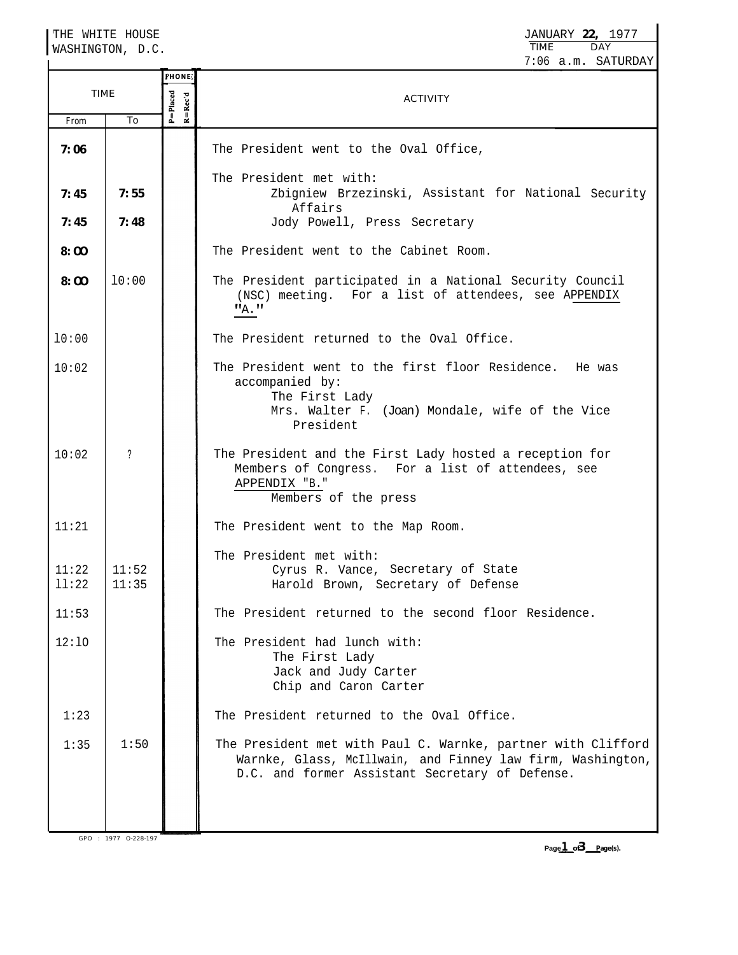THE WHITE HOUSE JANUARY **22,** 1977 **TIME** WASHINGTON, D.C. 7:06 a.m. SATURDAY **'HONE** P=Placed<br>R=Rec'd TIME ACTIVITY From To **7:06** The President went to the Oval Office, The President met with: Zbigniew Brzezinski, Assistant for National Security **7:45 7:55** Affairs **7:48** Jody Powell, Press Secretary **7:45** The President went to the Cabinet Room. **8:OO 8:OO** l0:00 The President participated in a National Security Council (NSC) meeting. For a list of attendees, see APPENDIX  $"_{A}$ ." l0:00 The President returned to the Oval Office. 10:02 The President went to the first floor Residence. He was accompanied by: The First Lady Mrs. Walter F. (Joan) Mondale, wife of the Vice President 10:02 ? The President and the First Lady hosted a reception for Members of Congress. For a list of attendees, see APPENDIX "B." Members of the press 11:21 The President went to the Map Room. The President met with: 11:22 11:52 Cyrus R. Vance, Secretary of State ll:22 11:35 Harold Brown, Secretary of Defense The President returned to the second floor Residence. 11:53 12:lO The President had lunch with: The First Lady Jack and Judy Carter Chip and Caron Carter The President returned to the Oval Office. 1:23 1:35 1:50 The President met with Paul C. Warnke, partner with Clifford Warnke, Glass, McIllwain, and Finney law firm, Washington, D.C. and former Assistant Secretary of Defense. **Page - 1 3 of -Page(s).**

GPO : 1977 O-228-197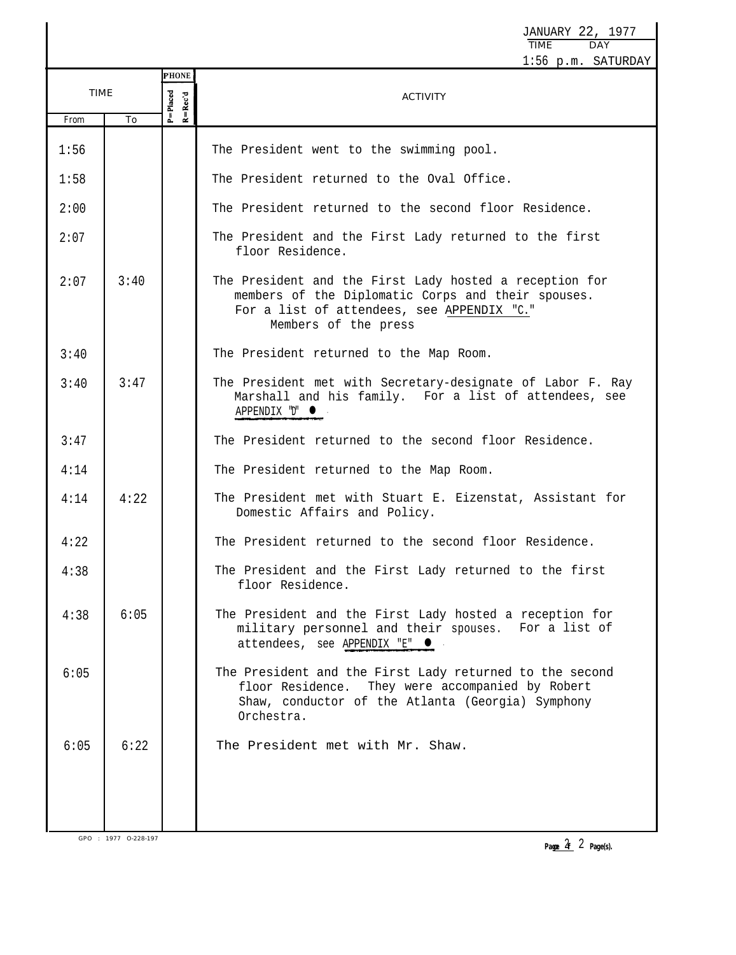JANUARY 22, 1977 TIME DAY 1:56 p.m. SATURDAY **'HONE** TIME  $R = Rec'd$  $P = P$ laced ACTIVITY From To 1:56 The President went to the swimming pool. The President returned to the Oval Office. 1:58 2:00 The President returned to the second floor Residence. The President and the First Lady returned to the first 2:07 floor Residence. 2:07 3:40 The President and the First Lady hosted a reception for members of the Diplomatic Corps and their spouses. For a list of attendees, see APPENDIX "C." Members of the press 3:40 The President returned to the Map Room. 3:47 The President met with Secretary-designate of Labor F. Ray 3:40 Marshall and his family. For a list of attendees, see APPENDIX "D" 3:47 The President returned to the second floor Residence. 4:14 The President returned to the Map Room. 4:14 4:22 The President met with Stuart E. Eizenstat, Assistant for Domestic Affairs and Policy. The President returned to the second floor Residence. 4:22 4:38 The President and the First Lady returned to the first floor Residence. 4:38 6:05 The President and the First Lady hosted a reception for military personnel and their spouses. For a list of attendees, see APPENDIX "E" · 6:05 | | | The President and the First Lady returned to the second floor Residence. They were accompanied by Robert Shaw, conductor of the Atlanta (Georgia) Symphony Orchestra. 6:05 6:22 The President met with Mr. Shaw.

GPO : 1977 O-228-197

**Page**  $2$  **Page(s).**